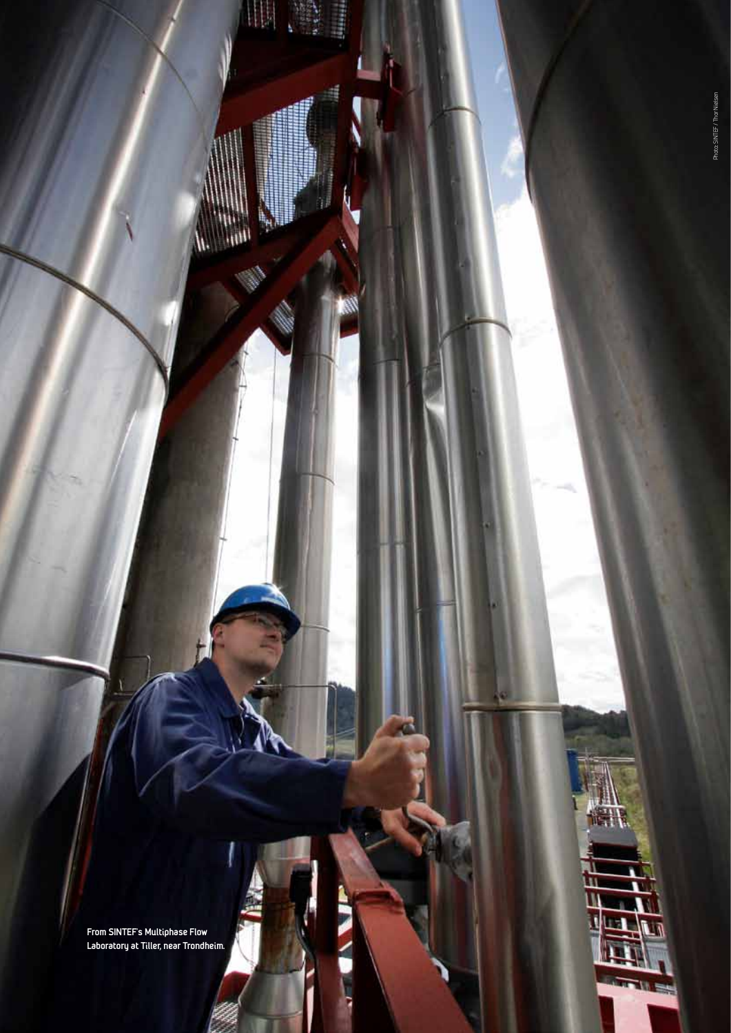**From SINTEF's Multiphase Flow Laboratory at Tiller, near Trondheim.**

ı

li jini

г

t<br>L Ì linia de

#

l,

Δ

TILE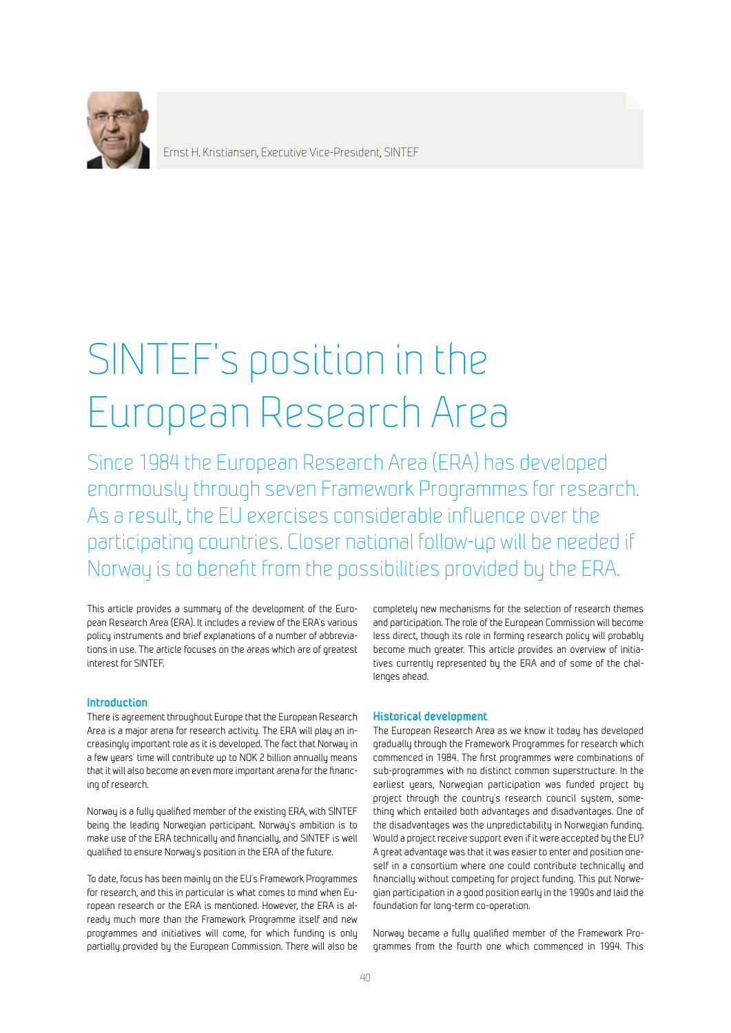

Ernst H. Kristiansen, Executive Vice-President, SINTEF

# SINTEF's position in the European Research Area

Since 1984 the European Research Area (ERA) has developed enormously through seven Framework Programmes for research. As a result, the EU exercises considerable influence over the participating countries. Closer national follow-up will be needed if Norway is to benefit from the possibilities provided by the ERA.

This article provides a summary of the development of the European Research Area (ERA). It includes a review of the ERA's various policy instruments and brief explanations of a number of abbreviations in use. The article focuses on the areas which are of greatest interest for SINTEF.

## **Introduction**

There is agreement throughout Europe that the European Research Area is a major arena for research activity. The ERA will play an increasingly important role as it is developed. The fact that Norway in a few years' time will contribute up to NOK 2 billion annually means that it will also become an even more important arena for the financing of research.

Norway is a fully qualified member of the existing ERA, with SINTEF being the leading Norwegian participant. Norway's ambition is to make use of the ERA technically and financially, and SINTEF is well qualified to ensure Norway's position in the ERA of the future.

To date, focus has been mainly on the EU's Framework Programmes for research, and this in particular is what comes to mind when European research or the ERA is mentioned. However, the ERA is already much more than the Framework Programme itself and new programmes and initiatives will come, for which funding is only partially provided by the European Commission. There will also be

completely new mechanisms for the selection of research themes and participation. The role of the European Commission will become less direct, though its role in forming research policy will probably become much greater. This article provides an overview of initiatives currently represented by the ERA and of some of the challenges ahead.

## **Historical development**

The European Research Area as we know it today has developed gradually through the Framework Programmes for research which commenced in 1984. The first programmes were combinations of sub-programmes with no distinct common superstructure. In the earliest years, Norwegian participation was funded project by project through the country's research council system, something which entailed both advantages and disadvantages. One of the disadvantages was the unpredictability in Norwegian funding. Would a project receive support even if it were accepted by the EU? A great advantage was that it was easier to enter and position oneself in a consortium where one could contribute technically and financially without competing for project funding. This put Norwegian participation in a good position early in the 1990s and laid the foundation for long-term co-operation.

Norway became a fully qualified member of the Framework Programmes from the fourth one which commenced in 1994. This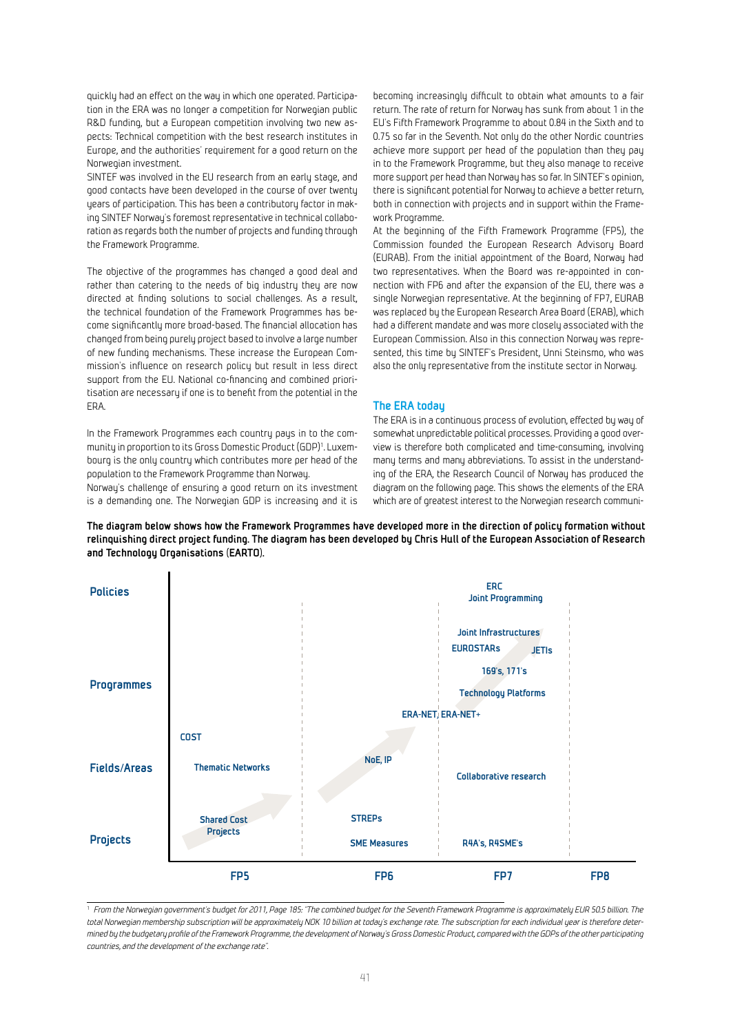quickly had an effect on the way in which one operated. Participation in the ERA was no longer a competition for Norwegian public R&D funding, but a European competition involving two new aspects: Technical competition with the best research institutes in Europe, and the authorities' requirement for a good return on the Norwegian investment.

SINTEF was involved in the EU research from an early stage, and good contacts have been developed in the course of over twenty years of participation. This has been a contributory factor in making SINTEF Norway's foremost representative in technical collaboration as regards both the number of projects and funding through the Framework Programme.

The objective of the programmes has changed a good deal and rather than catering to the needs of big industry they are now directed at finding solutions to social challenges. As a result, the technical foundation of the Framework Programmes has become significantly more broad-based. The financial allocation has changed from being purely project based to involve a large number of new funding mechanisms. These increase the European Commission's influence on research policy but result in less direct support from the EU. National co-financing and combined prioritisation are necessary if one is to benefit from the potential in the ERA.

In the Framework Programmes each country pays in to the community in proportion to its Gross Domestic Product (GDP)<sup>1</sup>. Luxembourg is the only country which contributes more per head of the population to the Framework Programme than Norway.

Norway's challenge of ensuring a good return on its investment is a demanding one. The Norwegian GDP is increasing and it is becoming increasingly difficult to obtain what amounts to a fair return. The rate of return for Norway has sunk from about 1 in the EU's Fifth Framework Programme to about 0.84 in the Sixth and to 0.75 so far in the Seventh. Not only do the other Nordic countries achieve more support per head of the population than they pay in to the Framework Programme, but they also manage to receive more support per head than Norway has so far. In SINTEF's opinion, there is significant potential for Norway to achieve a better return, both in connection with projects and in support within the Framework Programme.

At the beginning of the Fifth Framework Programme (FP5), the Commission founded the European Research Advisory Board (EURAB). From the initial appointment of the Board, Norway had two representatives. When the Board was re-appointed in connection with FP6 and after the expansion of the EU, there was a single Norwegian representative. At the beginning of FP7, EURAB was replaced by the European Research Area Board (ERAB), which had a different mandate and was more closely associated with the European Commission. Also in this connection Norway was represented, this time by SINTEF's President, Unni Steinsmo, who was also the only representative from the institute sector in Norway.

#### **The ERA today**

The ERA is in a continuous process of evolution, effected by way of somewhat unpredictable political processes. Providing a good overview is therefore both complicated and time-consuming, involving many terms and many abbreviations. To assist in the understanding of the ERA, the Research Council of Norway has produced the diagram on the following page. This shows the elements of the ERA which are of greatest interest to the Norwegian research communi-



**The diagram below shows how the Framework Programmes have developed more in the direction of policy formation without relinquishing direct project funding. The diagram has been developed by Chris Hull of the European Association of Research and Technology Organisations (EARTO).**

<sup>1</sup> *From the Norwegian government's budget for 2011, Page 185: "The combined budget for the Seventh Framework Programme is approximately EUR 50.5 billion. The total Norwegian membership subscription will be approximately NOK 10 billion at today's exchange rate. The subscription for each individual year is therefore determined by the budgetary profile of the Framework Programme, the development of Norway's Gross Domestic Product, compared with the GDPs of the other participating countries, and the development of the exchange rate".*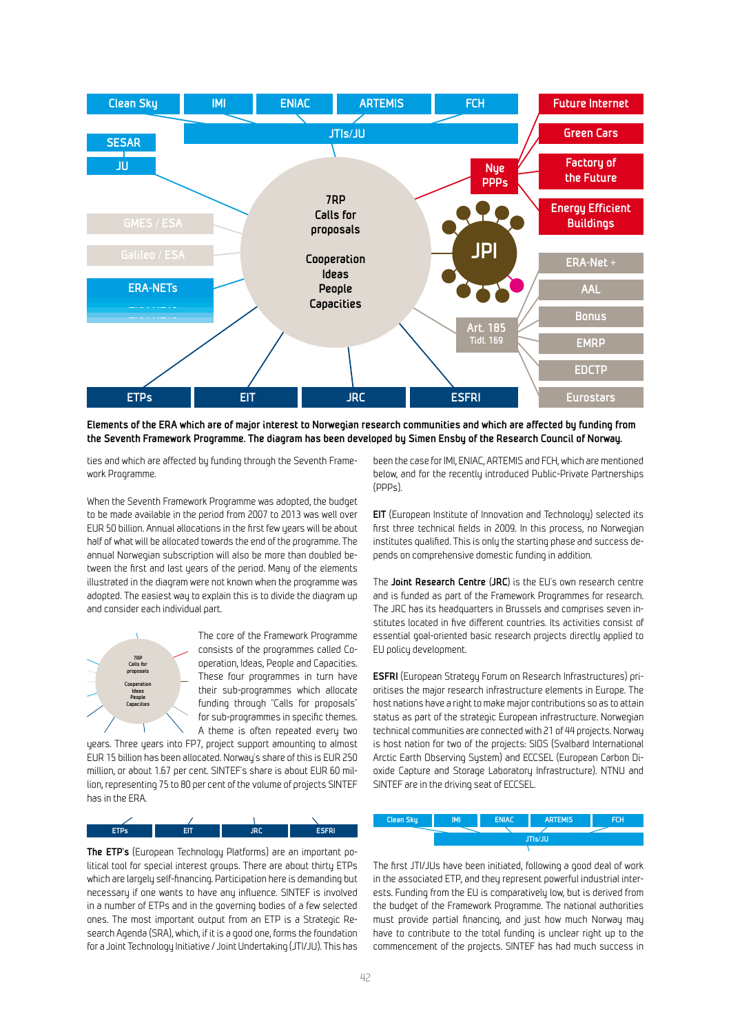

**Elements of the ERA which are of major interest to Norwegian research communities and which are affected by funding from the Seventh Framework Programme. The diagram has been developed by Simen Ensby of the Research Council of Norway.**

ties and which are affected by funding through the Seventh Framework Programme.

When the Seventh Framework Programme was adopted, the budget to be made available in the period from 2007 to 2013 was well over EUR 50 billion. Annual allocations in the first few years will be about half of what will be allocated towards the end of the programme. The annual Norwegian subscription will also be more than doubled between the first and last years of the period. Many of the elements illustrated in the diagram were not known when the programme was adopted. The easiest way to explain this is to divide the diagram up and consider each individual part.



The core of the Framework Programme consists of the programmes called Cooperation, Ideas, People and Capacities. These four programmes in turn have their sub-programmes which allocate funding through "Calls for proposals" for sub-programmes in specific themes. A theme is often repeated every two

years. Three years into FP7, project support amounting to almost EUR 15 billion has been allocated. Norway's share of this is EUR 250 million, or about 1.67 per cent. SINTEF's share is about EUR 60 million, representing 75 to 80 per cent of the volume of projects SINTEF has in the ERA.

| <b>Service Service</b><br>. .<br>--- | and the state of the state of the state of the state of the state of the state of the state of the state of th | <b>Inc.</b><br>____ | ______<br>m<br>--- |
|--------------------------------------|----------------------------------------------------------------------------------------------------------------|---------------------|--------------------|

**The ETP's** (European Technology Platforms) are an important political tool for special interest groups. There are about thirty ETPs which are largely self-financing. Participation here is demanding but necessary if one wants to have any influence. SINTEF is involved in a number of ETPs and in the governing bodies of a few selected ones. The most important output from an ETP is a Strategic Research Agenda (SRA), which, if it is a good one, forms the foundation for a Joint Technology Initiative / Joint Undertaking (JTI/JU). This has

been the case for IMI, ENIAC, ARTEMIS and FCH, which are mentioned below, and for the recently introduced Public-Private Partnerships (PPPs).

**EIT** (European Institute of Innovation and Technology) selected its first three technical fields in 2009. In this process, no Norwegian institutes qualified. This is only the starting phase and success depends on comprehensive domestic funding in addition.

The **Joint Research Centre (JRC)** is the EU's own research centre and is funded as part of the Framework Programmes for research. The JRC has its headquarters in Brussels and comprises seven institutes located in five different countries. Its activities consist of essential goal-oriented basic research projects directly applied to EU policy development.

**ESFRI** (European Strategy Forum on Research Infrastructures) prioritises the major research infrastructure elements in Europe. The host nations have a right to make major contributions so as to attain status as part of the strategic European infrastructure. Norwegian technical communities are connected with 21 of 44 projects. Norway is host nation for two of the projects: SIOS (Svalbard International Arctic Earth Observing System) and ECCSEL (European Carbon Dioxide Capture and Storage Laboratory Infrastructure). NTNU and SINTEF are in the driving seat of ECCSEL.

| <b>Clean Sky</b> | IMI            | <b>ENIAC</b> | <b>ARTEMIS</b> | FCH |  |
|------------------|----------------|--------------|----------------|-----|--|
|                  |                |              |                |     |  |
|                  | <b>JTIs/JU</b> |              |                |     |  |
|                  |                |              |                |     |  |

The first JTI/JUs have been initiated, following a good deal of work **Nye PPPs**in the associated ETP, and they represent powerful industrial interests. Funding from the EU is comparatively low, but is derived from the budget of the Framework Programme. The national authorities must provide partial financing, and just how much Norway may have to contribute to the total funding is unclear right up to the commencement of the projects. SINTEF has had much success in